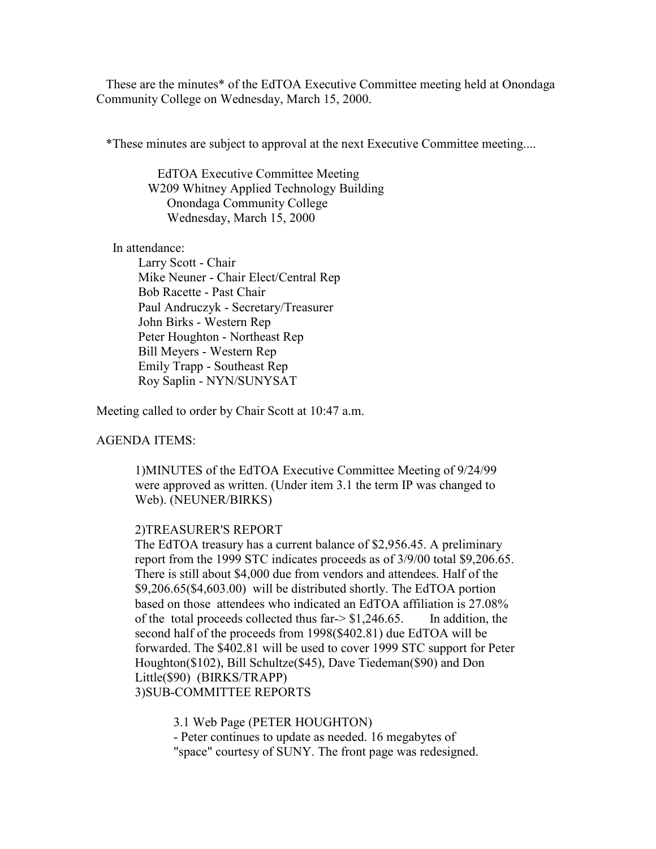These are the minutes\* of the EdTOA Executive Committee meeting held at Onondaga Community College on Wednesday, March 15, 2000.

\*These minutes are subject to approval at the next Executive Committee meeting....

 EdTOA Executive Committee Meeting W209 Whitney Applied Technology Building Onondaga Community College Wednesday, March 15, 2000

In attendance:

 Larry Scott - Chair Mike Neuner - Chair Elect/Central Rep Bob Racette - Past Chair Paul Andruczyk - Secretary/Treasurer John Birks - Western Rep Peter Houghton - Northeast Rep Bill Meyers - Western Rep Emily Trapp - Southeast Rep Roy Saplin - NYN/SUNYSAT

Meeting called to order by Chair Scott at 10:47 a.m.

AGENDA ITEMS:

1)MINUTES of the EdTOA Executive Committee Meeting of 9/24/99 were approved as written. (Under item 3.1 the term IP was changed to Web). (NEUNER/BIRKS)

# 2)TREASURER'S REPORT

The EdTOA treasury has a current balance of \$2,956.45. A preliminary report from the 1999 STC indicates proceeds as of 3/9/00 total \$9,206.65. There is still about \$4,000 due from vendors and attendees. Half of the \$9,206.65(\$4,603.00) will be distributed shortly. The EdTOA portion based on those attendees who indicated an EdTOA affiliation is 27.08% of the total proceeds collected thus far- $>$ \$1,246.65. In addition, the second half of the proceeds from 1998(\$402.81) due EdTOA will be forwarded. The \$402.81 will be used to cover 1999 STC support for Peter Houghton(\$102), Bill Schultze(\$45), Dave Tiedeman(\$90) and Don Little(\$90) (BIRKS/TRAPP) 3)SUB-COMMITTEE REPORTS

3.1 Web Page (PETER HOUGHTON)

- Peter continues to update as needed. 16 megabytes of "space" courtesy of SUNY. The front page was redesigned.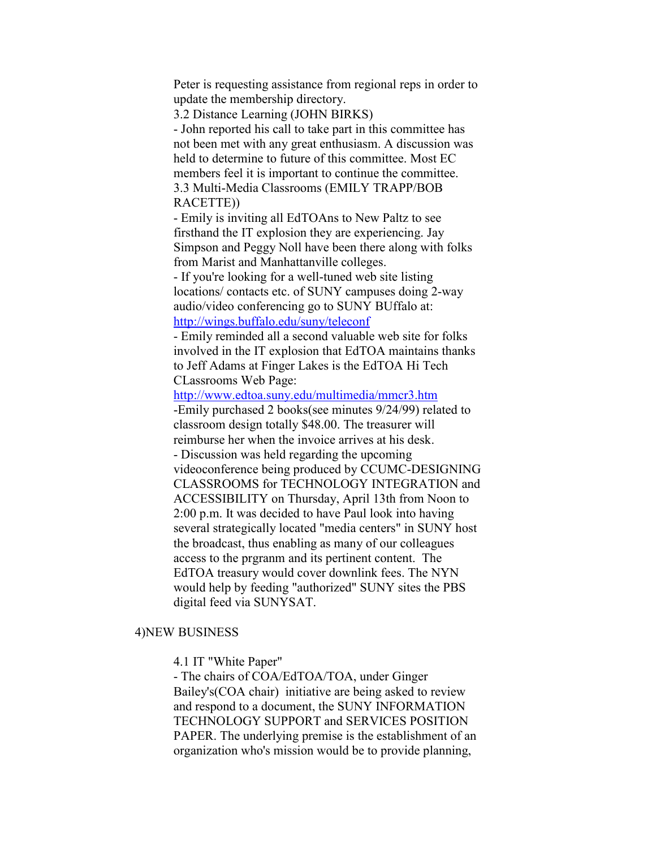Peter is requesting assistance from regional reps in order to update the membership directory.

3.2 Distance Learning (JOHN BIRKS)

- John reported his call to take part in this committee has not been met with any great enthusiasm. A discussion was held to determine to future of this committee. Most EC members feel it is important to continue the committee. 3.3 Multi-Media Classrooms (EMILY TRAPP/BOB RACETTE))

- Emily is inviting all EdTOAns to New Paltz to see firsthand the IT explosion they are experiencing. Jay Simpson and Peggy Noll have been there along with folks from Marist and Manhattanville colleges.

- If you're looking for a well-tuned web site listing locations/ contacts etc. of SUNY campuses doing 2-way audio/video conferencing go to SUNY BUffalo at: http://wings.buffalo.edu/suny/teleconf

- Emily reminded all a second valuable web site for folks involved in the IT explosion that EdTOA maintains thanks to Jeff Adams at Finger Lakes is the EdTOA Hi Tech CLassrooms Web Page:

http://www.edtoa.suny.edu/multimedia/mmcr3.htm -Emily purchased 2 books(see minutes 9/24/99) related to classroom design totally \$48.00. The treasurer will reimburse her when the invoice arrives at his desk. - Discussion was held regarding the upcoming videoconference being produced by CCUMC-DESIGNING CLASSROOMS for TECHNOLOGY INTEGRATION and ACCESSIBILITY on Thursday, April 13th from Noon to 2:00 p.m. It was decided to have Paul look into having several strategically located "media centers" in SUNY host the broadcast, thus enabling as many of our colleagues access to the prgranm and its pertinent content. The EdTOA treasury would cover downlink fees. The NYN would help by feeding "authorized" SUNY sites the PBS digital feed via SUNYSAT.

# 4)NEW BUSINESS

4.1 IT "White Paper"

- The chairs of COA/EdTOA/TOA, under Ginger Bailey's(COA chair) initiative are being asked to review and respond to a document, the SUNY INFORMATION TECHNOLOGY SUPPORT and SERVICES POSITION PAPER. The underlying premise is the establishment of an organization who's mission would be to provide planning,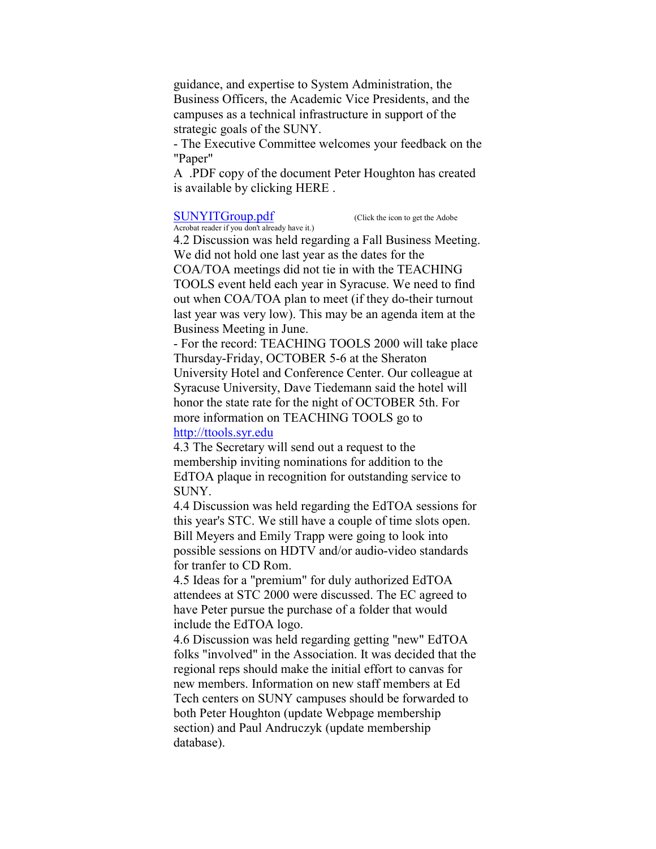guidance, and expertise to System Administration, the Business Officers, the Academic Vice Presidents, and the campuses as a technical infrastructure in support of the strategic goals of the SUNY.

- The Executive Committee welcomes your feedback on the "Paper"

A .PDF copy of the document Peter Houghton has created is available by clicking HERE .

#### SUNYITGroup.pdf (Click the icon to get the Adobe

Acrobat reader if you don't already have it.)

4.2 Discussion was held regarding a Fall Business Meeting. We did not hold one last year as the dates for the COA/TOA meetings did not tie in with the TEACHING TOOLS event held each year in Syracuse. We need to find out when COA/TOA plan to meet (if they do-their turnout last year was very low). This may be an agenda item at the Business Meeting in June.

- For the record: TEACHING TOOLS 2000 will take place Thursday-Friday, OCTOBER 5-6 at the Sheraton University Hotel and Conference Center. Our colleague at Syracuse University, Dave Tiedemann said the hotel will honor the state rate for the night of OCTOBER 5th. For more information on TEACHING TOOLS go to http://ttools.syr.edu

4.3 The Secretary will send out a request to the membership inviting nominations for addition to the EdTOA plaque in recognition for outstanding service to SUNY.

4.4 Discussion was held regarding the EdTOA sessions for this year's STC. We still have a couple of time slots open. Bill Meyers and Emily Trapp were going to look into possible sessions on HDTV and/or audio-video standards for tranfer to CD Rom.

4.5 Ideas for a "premium" for duly authorized EdTOA attendees at STC 2000 were discussed. The EC agreed to have Peter pursue the purchase of a folder that would include the EdTOA logo.

4.6 Discussion was held regarding getting "new" EdTOA folks "involved" in the Association. It was decided that the regional reps should make the initial effort to canvas for new members. Information on new staff members at Ed Tech centers on SUNY campuses should be forwarded to both Peter Houghton (update Webpage membership section) and Paul Andruczyk (update membership database).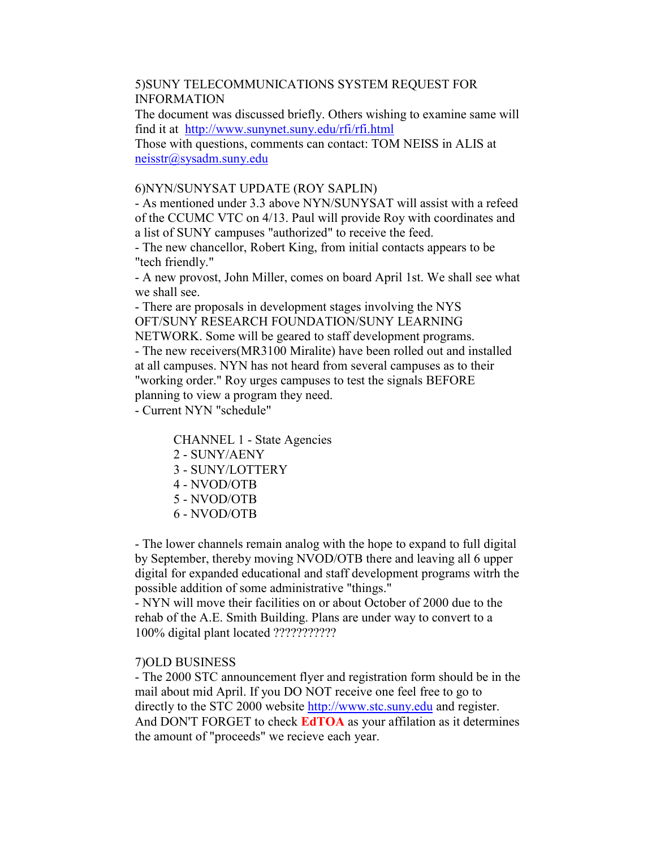# 5)SUNY TELECOMMUNICATIONS SYSTEM REQUEST FOR INFORMATION

The document was discussed briefly. Others wishing to examine same will find it at http://www.sunynet.suny.edu/rfi/rfi.html

Those with questions, comments can contact: TOM NEISS in ALIS at neisstr@sysadm.suny.edu

# 6)NYN/SUNYSAT UPDATE (ROY SAPLIN)

- As mentioned under 3.3 above NYN/SUNYSAT will assist with a refeed of the CCUMC VTC on 4/13. Paul will provide Roy with coordinates and a list of SUNY campuses "authorized" to receive the feed.

- The new chancellor, Robert King, from initial contacts appears to be "tech friendly."

- A new provost, John Miller, comes on board April 1st. We shall see what we shall see.

- There are proposals in development stages involving the NYS OFT/SUNY RESEARCH FOUNDATION/SUNY LEARNING

NETWORK. Some will be geared to staff development programs. - The new receivers(MR3100 Miralite) have been rolled out and installed at all campuses. NYN has not heard from several campuses as to their "working order." Roy urges campuses to test the signals BEFORE planning to view a program they need. - Current NYN "schedule"

CHANNEL 1 - State Agencies

- 2 SUNY/AENY
- 3 SUNY/LOTTERY
- 4 NVOD/OTB
- 5 NVOD/OTB
- 6 NVOD/OTB

- The lower channels remain analog with the hope to expand to full digital by September, thereby moving NVOD/OTB there and leaving all 6 upper digital for expanded educational and staff development programs witrh the possible addition of some administrative "things."

- NYN will move their facilities on or about October of 2000 due to the rehab of the A.E. Smith Building. Plans are under way to convert to a 100% digital plant located ???????????

# 7)OLD BUSINESS

- The 2000 STC announcement flyer and registration form should be in the mail about mid April. If you DO NOT receive one feel free to go to directly to the STC 2000 website http://www.stc.suny.edu and register. And DON'T FORGET to check **EdTOA** as your affilation as it determines the amount of "proceeds" we recieve each year.